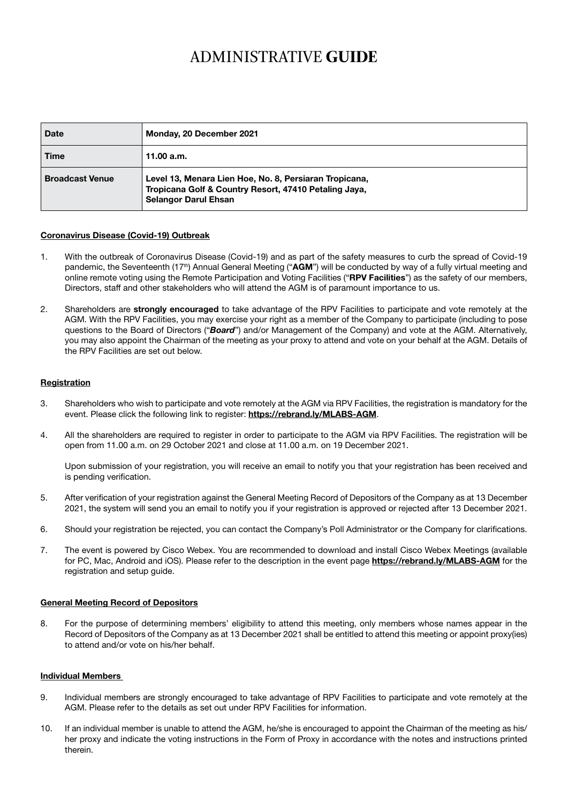# ADMINISTRATIVE **GUIDE**

| <b>Date</b>            | Monday, 20 December 2021                                                                                                                       |
|------------------------|------------------------------------------------------------------------------------------------------------------------------------------------|
| Time                   | 11.00 a.m.                                                                                                                                     |
| <b>Broadcast Venue</b> | Level 13, Menara Lien Hoe, No. 8, Persiaran Tropicana,<br>Tropicana Golf & Country Resort, 47410 Petaling Jaya,<br><b>Selangor Darul Ehsan</b> |

## Coronavirus Disease (Covid-19) Outbreak

- 1. With the outbreak of Coronavirus Disease (Covid-19) and as part of the safety measures to curb the spread of Covid-19 pandemic, the Seventeenth (17<sup>th</sup>) Annual General Meeting ("AGM") will be conducted by way of a fully virtual meeting and online remote voting using the Remote Participation and Voting Facilities ("RPV Facilities") as the safety of our members, Directors, staff and other stakeholders who will attend the AGM is of paramount importance to us.
- 2. Shareholders are strongly encouraged to take advantage of the RPV Facilities to participate and vote remotely at the AGM. With the RPV Facilities, you may exercise your right as a member of the Company to participate (including to pose questions to the Board of Directors ("*Board*") and/or Management of the Company) and vote at the AGM. Alternatively, you may also appoint the Chairman of the meeting as your proxy to attend and vote on your behalf at the AGM. Details of the RPV Facilities are set out below.

#### Registration

- 3. Shareholders who wish to participate and vote remotely at the AGM via RPV Facilities, the registration is mandatory for the event. Please click the following link to register: https://rebrand.ly/MLABS-AGM.
- 4. All the shareholders are required to register in order to participate to the AGM via RPV Facilities. The registration will be open from 11.00 a.m. on 29 October 2021 and close at 11.00 a.m. on 19 December 2021.

Upon submission of your registration, you will receive an email to notify you that your registration has been received and is pending verification.

- 5. After verification of your registration against the General Meeting Record of Depositors of the Company as at 13 December 2021, the system will send you an email to notify you if your registration is approved or rejected after 13 December 2021.
- 6. Should your registration be rejected, you can contact the Company's Poll Administrator or the Company for clarifications.
- 7. The event is powered by Cisco Webex. You are recommended to download and install Cisco Webex Meetings (available for PC, Mac, Android and iOS). Please refer to the description in the event page https://rebrand.ly/MLABS-AGM for the registration and setup guide.

## General Meeting Record of Depositors

8. For the purpose of determining members' eligibility to attend this meeting, only members whose names appear in the Record of Depositors of the Company as at 13 December 2021 shall be entitled to attend this meeting or appoint proxy(ies) to attend and/or vote on his/her behalf.

#### Individual Members

- 9. Individual members are strongly encouraged to take advantage of RPV Facilities to participate and vote remotely at the AGM. Please refer to the details as set out under RPV Facilities for information.
- 10. If an individual member is unable to attend the AGM, he/she is encouraged to appoint the Chairman of the meeting as his/ her proxy and indicate the voting instructions in the Form of Proxy in accordance with the notes and instructions printed therein.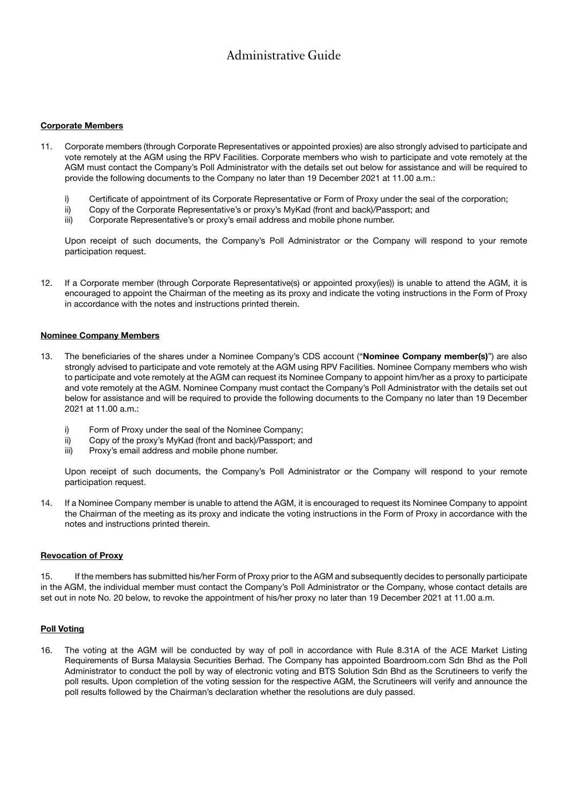# Administrative Guide

# Corporate Members

- 11. Corporate members (through Corporate Representatives or appointed proxies) are also strongly advised to participate and vote remotely at the AGM using the RPV Facilities. Corporate members who wish to participate and vote remotely at the AGM must contact the Company's Poll Administrator with the details set out below for assistance and will be required to provide the following documents to the Company no later than 19 December 2021 at 11.00 a.m.:
	- i) Certificate of appointment of its Corporate Representative or Form of Proxy under the seal of the corporation;
	- ii) Copy of the Corporate Representative's or proxy's MyKad (front and back)/Passport; and
	- iii) Corporate Representative's or proxy's email address and mobile phone number.

Upon receipt of such documents, the Company's Poll Administrator or the Company will respond to your remote participation request.

12. If a Corporate member (through Corporate Representative(s) or appointed proxy(ies)) is unable to attend the AGM, it is encouraged to appoint the Chairman of the meeting as its proxy and indicate the voting instructions in the Form of Proxy in accordance with the notes and instructions printed therein.

### Nominee Company Members

- 13. The beneficiaries of the shares under a Nominee Company's CDS account ("Nominee Company member(s)") are also strongly advised to participate and vote remotely at the AGM using RPV Facilities. Nominee Company members who wish to participate and vote remotely at the AGM can request its Nominee Company to appoint him/her as a proxy to participate and vote remotely at the AGM. Nominee Company must contact the Company's Poll Administrator with the details set out below for assistance and will be required to provide the following documents to the Company no later than 19 December 2021 at 11.00 a.m.:
	- i) Form of Proxy under the seal of the Nominee Company;
	- ii) Copy of the proxy's MyKad (front and back)/Passport; and
	- iii) Proxy's email address and mobile phone number.

Upon receipt of such documents, the Company's Poll Administrator or the Company will respond to your remote participation request.

14. If a Nominee Company member is unable to attend the AGM, it is encouraged to request its Nominee Company to appoint the Chairman of the meeting as its proxy and indicate the voting instructions in the Form of Proxy in accordance with the notes and instructions printed therein.

#### Revocation of Proxy

15. If the members has submitted his/her Form of Proxy prior to the AGM and subsequently decides to personally participate in the AGM, the individual member must contact the Company's Poll Administrator or the Company, whose contact details are set out in note No. 20 below, to revoke the appointment of his/her proxy no later than 19 December 2021 at 11.00 a.m.

# Poll Voting

16. The voting at the AGM will be conducted by way of poll in accordance with Rule 8.31A of the ACE Market Listing Requirements of Bursa Malaysia Securities Berhad. The Company has appointed Boardroom.com Sdn Bhd as the Poll Administrator to conduct the poll by way of electronic voting and BTS Solution Sdn Bhd as the Scrutineers to verify the poll results. Upon completion of the voting session for the respective AGM, the Scrutineers will verify and announce the poll results followed by the Chairman's declaration whether the resolutions are duly passed.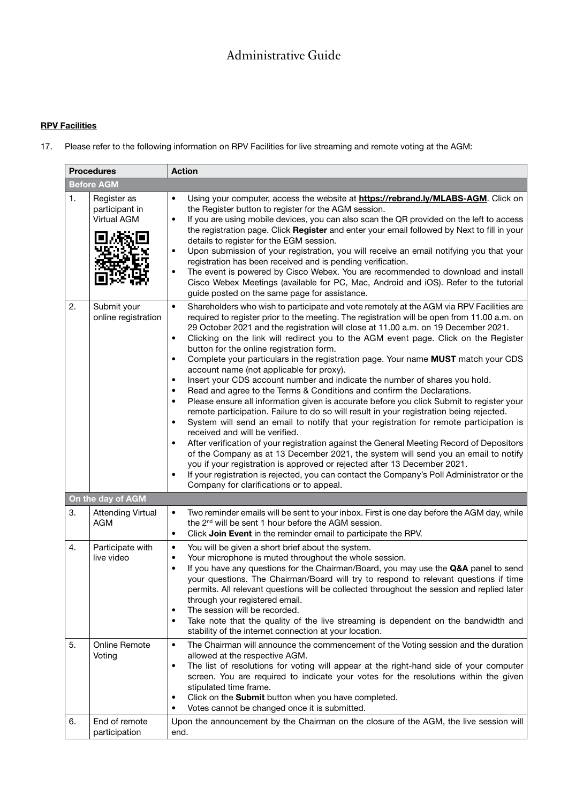# Administrative Guide

# **RPV Facilities**

17. Please refer to the following information on RPV Facilities for live streaming and remote voting at the AGM:

| <b>Procedures</b> |                                              | <b>Action</b>                                                                                                                                                                                                                                                                                                                                                                                                                                                                                                                                                                                                                                                                                                                                                                                                                                                                                                                                                                                                                                                                                                                                                                                                                                                                                                                                                                                                                                                                                                                               |
|-------------------|----------------------------------------------|---------------------------------------------------------------------------------------------------------------------------------------------------------------------------------------------------------------------------------------------------------------------------------------------------------------------------------------------------------------------------------------------------------------------------------------------------------------------------------------------------------------------------------------------------------------------------------------------------------------------------------------------------------------------------------------------------------------------------------------------------------------------------------------------------------------------------------------------------------------------------------------------------------------------------------------------------------------------------------------------------------------------------------------------------------------------------------------------------------------------------------------------------------------------------------------------------------------------------------------------------------------------------------------------------------------------------------------------------------------------------------------------------------------------------------------------------------------------------------------------------------------------------------------------|
|                   | <b>Before AGM</b>                            |                                                                                                                                                                                                                                                                                                                                                                                                                                                                                                                                                                                                                                                                                                                                                                                                                                                                                                                                                                                                                                                                                                                                                                                                                                                                                                                                                                                                                                                                                                                                             |
| 1.                | Register as<br>participant in<br>Virtual AGM | Using your computer, access the website at <b>https://rebrand.ly/MLABS-AGM</b> . Click on<br>$\bullet$<br>the Register button to register for the AGM session.<br>If you are using mobile devices, you can also scan the QR provided on the left to access<br>the registration page. Click Register and enter your email followed by Next to fill in your<br>details to register for the EGM session.<br>Upon submission of your registration, you will receive an email notifying you that your<br>$\bullet$<br>registration has been received and is pending verification.<br>The event is powered by Cisco Webex. You are recommended to download and install<br>$\bullet$<br>Cisco Webex Meetings (available for PC, Mac, Android and iOS). Refer to the tutorial<br>guide posted on the same page for assistance.                                                                                                                                                                                                                                                                                                                                                                                                                                                                                                                                                                                                                                                                                                                      |
| 2.                | Submit your<br>online registration           | $\bullet$<br>Shareholders who wish to participate and vote remotely at the AGM via RPV Facilities are<br>required to register prior to the meeting. The registration will be open from 11.00 a.m. on<br>29 October 2021 and the registration will close at 11.00 a.m. on 19 December 2021.<br>Clicking on the link will redirect you to the AGM event page. Click on the Register<br>$\bullet$<br>button for the online registration form.<br>Complete your particulars in the registration page. Your name MUST match your CDS<br>$\bullet$<br>account name (not applicable for proxy).<br>Insert your CDS account number and indicate the number of shares you hold.<br>$\bullet$<br>Read and agree to the Terms & Conditions and confirm the Declarations.<br>Please ensure all information given is accurate before you click Submit to register your<br>$\bullet$<br>remote participation. Failure to do so will result in your registration being rejected.<br>System will send an email to notify that your registration for remote participation is<br>$\bullet$<br>received and will be verified.<br>After verification of your registration against the General Meeting Record of Depositors<br>$\bullet$<br>of the Company as at 13 December 2021, the system will send you an email to notify<br>you if your registration is approved or rejected after 13 December 2021.<br>If your registration is rejected, you can contact the Company's Poll Administrator or the<br>$\bullet$<br>Company for clarifications or to appeal. |
|                   | On the day of AGM                            |                                                                                                                                                                                                                                                                                                                                                                                                                                                                                                                                                                                                                                                                                                                                                                                                                                                                                                                                                                                                                                                                                                                                                                                                                                                                                                                                                                                                                                                                                                                                             |
| 3.                | <b>Attending Virtual</b><br><b>AGM</b>       | Two reminder emails will be sent to your inbox. First is one day before the AGM day, while<br>$\bullet$<br>the 2 <sup>nd</sup> will be sent 1 hour before the AGM session.<br>Click Join Event in the reminder email to participate the RPV.<br>$\bullet$                                                                                                                                                                                                                                                                                                                                                                                                                                                                                                                                                                                                                                                                                                                                                                                                                                                                                                                                                                                                                                                                                                                                                                                                                                                                                   |
| 4.                | Participate with<br>live video               | You will be given a short brief about the system.<br>$\bullet$<br>Your microphone is muted throughout the whole session.<br>$\bullet$<br>If you have any questions for the Chairman/Board, you may use the Q&A panel to send<br>your questions. The Chairman/Board will try to respond to relevant questions if time<br>permits. All relevant questions will be collected throughout the session and replied later<br>through your registered email.<br>The session will be recorded.<br>$\bullet$<br>Take note that the quality of the live streaming is dependent on the bandwidth and<br>$\bullet$<br>stability of the internet connection at your location.                                                                                                                                                                                                                                                                                                                                                                                                                                                                                                                                                                                                                                                                                                                                                                                                                                                                             |
| 5.                | Online Remote<br>Voting                      | $\bullet$<br>The Chairman will announce the commencement of the Voting session and the duration<br>allowed at the respective AGM.<br>The list of resolutions for voting will appear at the right-hand side of your computer<br>٠<br>screen. You are required to indicate your votes for the resolutions within the given<br>stipulated time frame.<br>Click on the Submit button when you have completed.<br>$\bullet$<br>Votes cannot be changed once it is submitted.<br>$\bullet$                                                                                                                                                                                                                                                                                                                                                                                                                                                                                                                                                                                                                                                                                                                                                                                                                                                                                                                                                                                                                                                        |
| 6.                | End of remote<br>participation               | Upon the announcement by the Chairman on the closure of the AGM, the live session will<br>end.                                                                                                                                                                                                                                                                                                                                                                                                                                                                                                                                                                                                                                                                                                                                                                                                                                                                                                                                                                                                                                                                                                                                                                                                                                                                                                                                                                                                                                              |